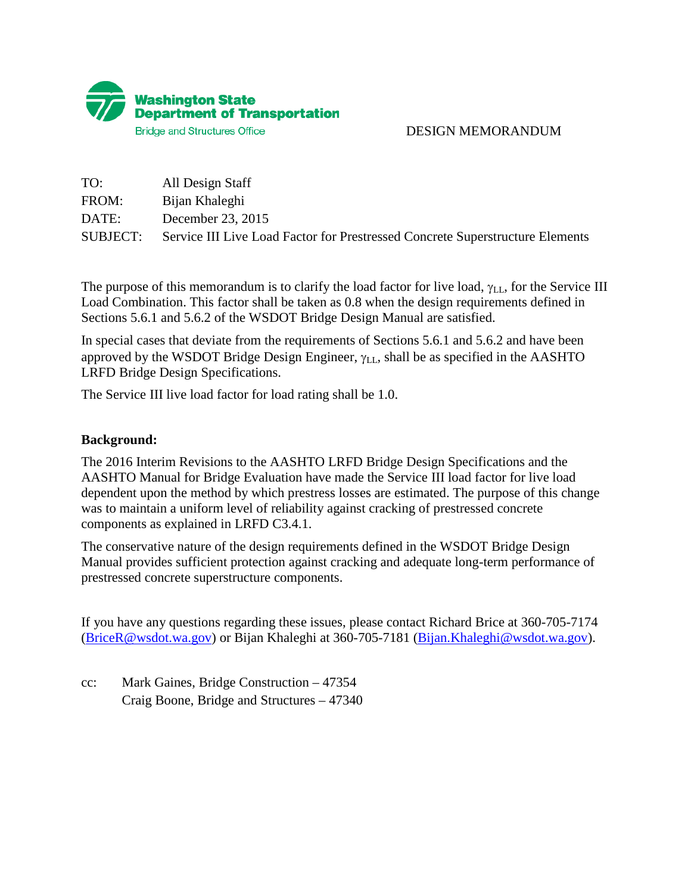

## DESIGN MEMORANDUM

| TO:      | All Design Staff                                                              |
|----------|-------------------------------------------------------------------------------|
| FROM:    | Bijan Khaleghi                                                                |
| DATE:    | December 23, 2015                                                             |
| SUBJECT: | Service III Live Load Factor for Prestressed Concrete Superstructure Elements |

The purpose of this memorandum is to clarify the load factor for live load,  $\gamma_{\text{LL}}$ , for the Service III Load Combination. This factor shall be taken as 0.8 when the design requirements defined in Sections 5.6.1 and 5.6.2 of the WSDOT Bridge Design Manual are satisfied.

In special cases that deviate from the requirements of Sections 5.6.1 and 5.6.2 and have been approved by the WSDOT Bridge Design Engineer,  $\gamma_{LL}$ , shall be as specified in the AASHTO LRFD Bridge Design Specifications.

The Service III live load factor for load rating shall be 1.0.

## **Background:**

The 2016 Interim Revisions to the AASHTO LRFD Bridge Design Specifications and the AASHTO Manual for Bridge Evaluation have made the Service III load factor for live load dependent upon the method by which prestress losses are estimated. The purpose of this change was to maintain a uniform level of reliability against cracking of prestressed concrete components as explained in LRFD C3.4.1.

The conservative nature of the design requirements defined in the WSDOT Bridge Design Manual provides sufficient protection against cracking and adequate long-term performance of prestressed concrete superstructure components.

If you have any questions regarding these issues, please contact Richard Brice at 360-705-7174 [\(BriceR@wsdot.wa.gov\)](mailto:BriceR@wsdot.wa.gov) or Bijan Khaleghi at 360-705-7181 [\(Bijan.Khaleghi@wsdot.wa.gov\)](mailto:Bijan.Khaleghi@wsdot.wa.gov).

cc: Mark Gaines, Bridge Construction – 47354 Craig Boone, Bridge and Structures – 47340